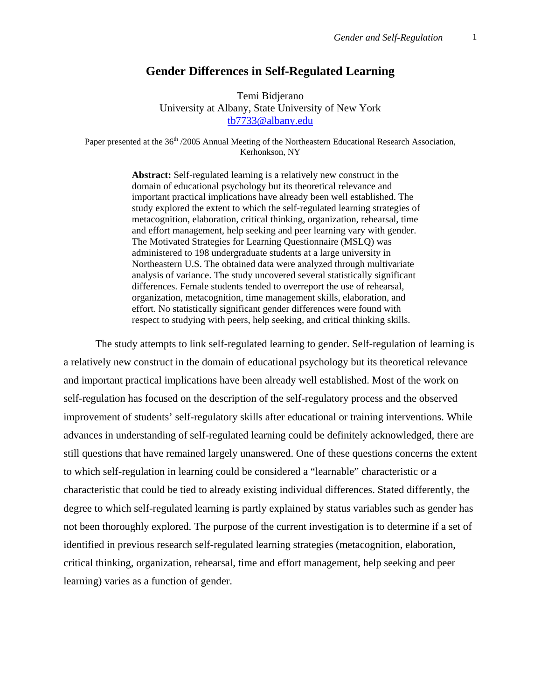# **Gender Differences in Self-Regulated Learning**

Temi Bidjerano University at Albany, State University of New York [tb7733@albany.edu](mailto:tb7733@albany.edu)

Paper presented at the 36<sup>th</sup> /2005 Annual Meeting of the Northeastern Educational Research Association, Kerhonkson, NY

> **Abstract:** Self-regulated learning is a relatively new construct in the domain of educational psychology but its theoretical relevance and important practical implications have already been well established. The study explored the extent to which the self-regulated learning strategies of metacognition, elaboration, critical thinking, organization, rehearsal, time and effort management, help seeking and peer learning vary with gender. The Motivated Strategies for Learning Questionnaire (MSLQ) was administered to 198 undergraduate students at a large university in Northeastern U.S. The obtained data were analyzed through multivariate analysis of variance. The study uncovered several statistically significant differences. Female students tended to overreport the use of rehearsal, organization, metacognition, time management skills, elaboration, and effort. No statistically significant gender differences were found with respect to studying with peers, help seeking, and critical thinking skills.

The study attempts to link self-regulated learning to gender. Self-regulation of learning is a relatively new construct in the domain of educational psychology but its theoretical relevance and important practical implications have been already well established. Most of the work on self-regulation has focused on the description of the self-regulatory process and the observed improvement of students' self-regulatory skills after educational or training interventions. While advances in understanding of self-regulated learning could be definitely acknowledged, there are still questions that have remained largely unanswered. One of these questions concerns the extent to which self-regulation in learning could be considered a "learnable" characteristic or a characteristic that could be tied to already existing individual differences. Stated differently, the degree to which self-regulated learning is partly explained by status variables such as gender has not been thoroughly explored. The purpose of the current investigation is to determine if a set of identified in previous research self-regulated learning strategies (metacognition, elaboration, critical thinking, organization, rehearsal, time and effort management, help seeking and peer learning) varies as a function of gender.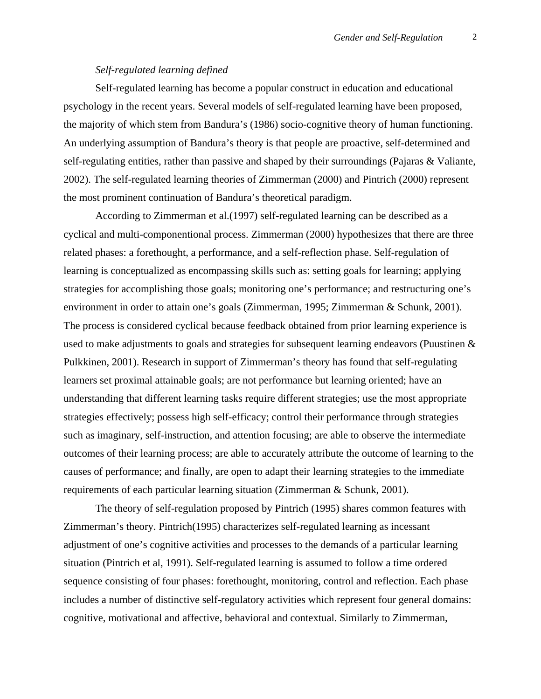## *Self-regulated learning defined*

Self-regulated learning has become a popular construct in education and educational psychology in the recent years. Several models of self-regulated learning have been proposed, the majority of which stem from Bandura's (1986) socio-cognitive theory of human functioning. An underlying assumption of Bandura's theory is that people are proactive, self-determined and self-regulating entities, rather than passive and shaped by their surroundings (Pajaras & Valiante, 2002). The self-regulated learning theories of Zimmerman (2000) and Pintrich (2000) represent the most prominent continuation of Bandura's theoretical paradigm.

According to Zimmerman et al.(1997) self-regulated learning can be described as a cyclical and multi-componentional process. Zimmerman (2000) hypothesizes that there are three related phases: a forethought, a performance, and a self-reflection phase. Self-regulation of learning is conceptualized as encompassing skills such as: setting goals for learning; applying strategies for accomplishing those goals; monitoring one's performance; and restructuring one's environment in order to attain one's goals (Zimmerman, 1995; Zimmerman & Schunk, 2001). The process is considered cyclical because feedback obtained from prior learning experience is used to make adjustments to goals and strategies for subsequent learning endeavors (Puustinen & Pulkkinen, 2001). Research in support of Zimmerman's theory has found that self-regulating learners set proximal attainable goals; are not performance but learning oriented; have an understanding that different learning tasks require different strategies; use the most appropriate strategies effectively; possess high self-efficacy; control their performance through strategies such as imaginary, self-instruction, and attention focusing; are able to observe the intermediate outcomes of their learning process; are able to accurately attribute the outcome of learning to the causes of performance; and finally, are open to adapt their learning strategies to the immediate requirements of each particular learning situation (Zimmerman & Schunk, 2001).

The theory of self-regulation proposed by Pintrich (1995) shares common features with Zimmerman's theory. Pintrich(1995) characterizes self-regulated learning as incessant adjustment of one's cognitive activities and processes to the demands of a particular learning situation (Pintrich et al, 1991). Self-regulated learning is assumed to follow a time ordered sequence consisting of four phases: forethought, monitoring, control and reflection. Each phase includes a number of distinctive self-regulatory activities which represent four general domains: cognitive, motivational and affective, behavioral and contextual. Similarly to Zimmerman,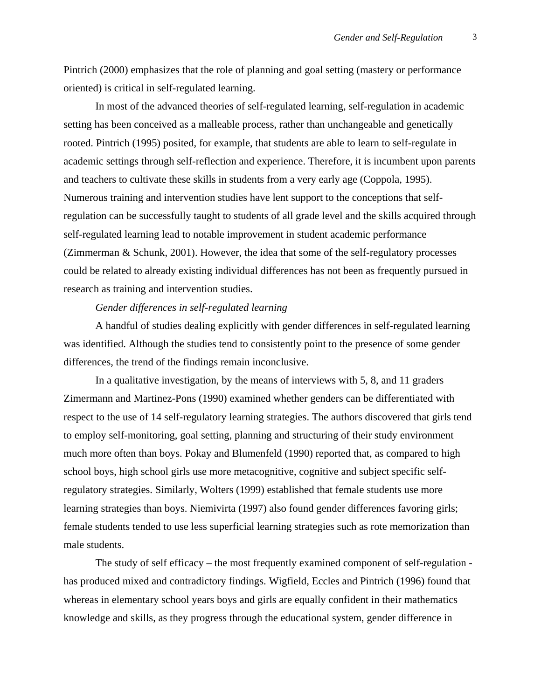Pintrich (2000) emphasizes that the role of planning and goal setting (mastery or performance oriented) is critical in self-regulated learning.

In most of the advanced theories of self-regulated learning, self-regulation in academic setting has been conceived as a malleable process, rather than unchangeable and genetically rooted. Pintrich (1995) posited, for example, that students are able to learn to self-regulate in academic settings through self-reflection and experience. Therefore, it is incumbent upon parents and teachers to cultivate these skills in students from a very early age (Coppola, 1995). Numerous training and intervention studies have lent support to the conceptions that selfregulation can be successfully taught to students of all grade level and the skills acquired through self-regulated learning lead to notable improvement in student academic performance (Zimmerman & Schunk, 2001). However, the idea that some of the self-regulatory processes could be related to already existing individual differences has not been as frequently pursued in research as training and intervention studies.

## *Gender differences in self-regulated learning*

A handful of studies dealing explicitly with gender differences in self-regulated learning was identified. Although the studies tend to consistently point to the presence of some gender differences, the trend of the findings remain inconclusive.

In a qualitative investigation, by the means of interviews with 5, 8, and 11 graders Zimermann and Martinez-Pons (1990) examined whether genders can be differentiated with respect to the use of 14 self-regulatory learning strategies. The authors discovered that girls tend to employ self-monitoring, goal setting, planning and structuring of their study environment much more often than boys. Pokay and Blumenfeld (1990) reported that, as compared to high school boys, high school girls use more metacognitive, cognitive and subject specific selfregulatory strategies. Similarly, Wolters (1999) established that female students use more learning strategies than boys. Niemivirta (1997) also found gender differences favoring girls; female students tended to use less superficial learning strategies such as rote memorization than male students.

The study of self efficacy – the most frequently examined component of self-regulation has produced mixed and contradictory findings. Wigfield, Eccles and Pintrich (1996) found that whereas in elementary school years boys and girls are equally confident in their mathematics knowledge and skills, as they progress through the educational system, gender difference in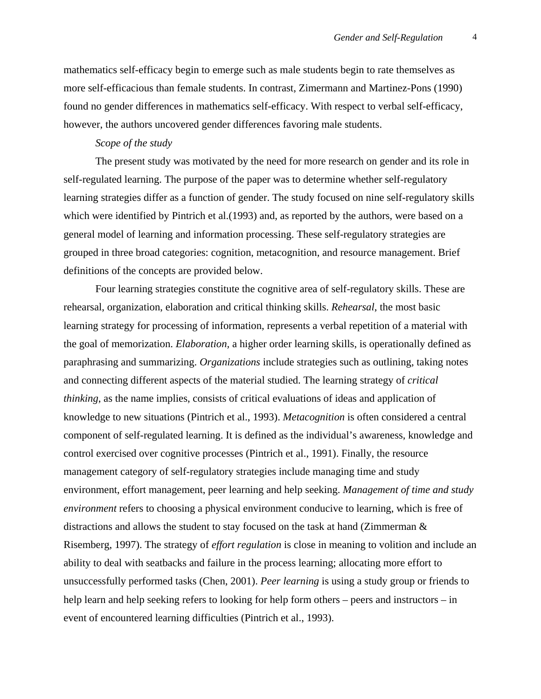mathematics self-efficacy begin to emerge such as male students begin to rate themselves as more self-efficacious than female students. In contrast, Zimermann and Martinez-Pons (1990) found no gender differences in mathematics self-efficacy. With respect to verbal self-efficacy, however, the authors uncovered gender differences favoring male students.

# *Scope of the study*

The present study was motivated by the need for more research on gender and its role in self-regulated learning. The purpose of the paper was to determine whether self-regulatory learning strategies differ as a function of gender. The study focused on nine self-regulatory skills which were identified by Pintrich et al.(1993) and, as reported by the authors, were based on a general model of learning and information processing. These self-regulatory strategies are grouped in three broad categories: cognition, metacognition, and resource management. Brief definitions of the concepts are provided below.

Four learning strategies constitute the cognitive area of self-regulatory skills. These are rehearsal, organization, elaboration and critical thinking skills. *Rehearsal*, the most basic learning strategy for processing of information, represents a verbal repetition of a material with the goal of memorization. *Elaboration,* a higher order learning skills, is operationally defined as paraphrasing and summarizing. *Organizations* include strategies such as outlining, taking notes and connecting different aspects of the material studied. The learning strategy of *critical thinking*, as the name implies, consists of critical evaluations of ideas and application of knowledge to new situations (Pintrich et al., 1993). *Metacognition* is often considered a central component of self-regulated learning. It is defined as the individual's awareness, knowledge and control exercised over cognitive processes (Pintrich et al., 1991). Finally, the resource management category of self-regulatory strategies include managing time and study environment, effort management, peer learning and help seeking. *Management of time and study environment* refers to choosing a physical environment conducive to learning, which is free of distractions and allows the student to stay focused on the task at hand (Zimmerman & Risemberg, 1997). The strategy of *effort regulation* is close in meaning to volition and include an ability to deal with seatbacks and failure in the process learning; allocating more effort to unsuccessfully performed tasks (Chen, 2001). *Peer learning* is using a study group or friends to help learn and help seeking refers to looking for help form others – peers and instructors – in event of encountered learning difficulties (Pintrich et al., 1993).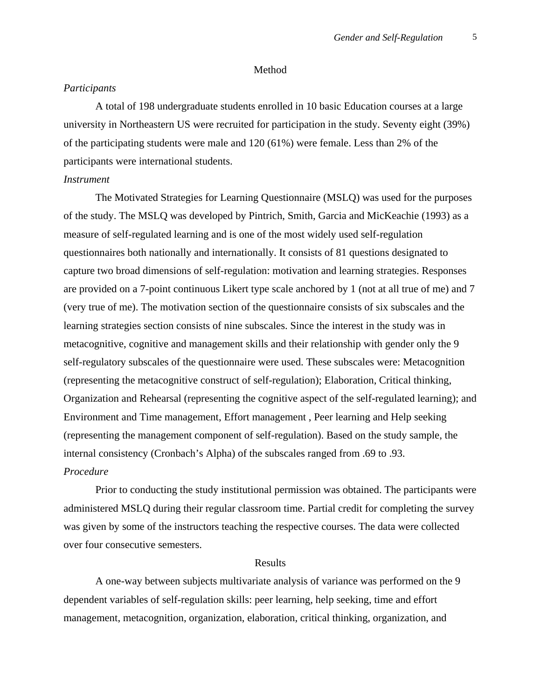#### Method

### *Participants*

A total of 198 undergraduate students enrolled in 10 basic Education courses at a large university in Northeastern US were recruited for participation in the study. Seventy eight (39%) of the participating students were male and 120 (61%) were female. Less than 2% of the participants were international students.

## *Instrument*

 The Motivated Strategies for Learning Questionnaire (MSLQ) was used for the purposes of the study. The MSLQ was developed by Pintrich, Smith, Garcia and MicKeachie (1993) as a measure of self-regulated learning and is one of the most widely used self-regulation questionnaires both nationally and internationally. It consists of 81 questions designated to capture two broad dimensions of self-regulation: motivation and learning strategies. Responses are provided on a 7-point continuous Likert type scale anchored by 1 (not at all true of me) and 7 (very true of me). The motivation section of the questionnaire consists of six subscales and the learning strategies section consists of nine subscales. Since the interest in the study was in metacognitive, cognitive and management skills and their relationship with gender only the 9 self-regulatory subscales of the questionnaire were used. These subscales were: Metacognition (representing the metacognitive construct of self-regulation); Elaboration, Critical thinking, Organization and Rehearsal (representing the cognitive aspect of the self-regulated learning); and Environment and Time management, Effort management , Peer learning and Help seeking (representing the management component of self-regulation). Based on the study sample, the internal consistency (Cronbach's Alpha) of the subscales ranged from .69 to .93. *Procedure* 

Prior to conducting the study institutional permission was obtained. The participants were administered MSLQ during their regular classroom time. Partial credit for completing the survey was given by some of the instructors teaching the respective courses. The data were collected over four consecutive semesters.

# Results

A one-way between subjects multivariate analysis of variance was performed on the 9 dependent variables of self-regulation skills: peer learning, help seeking, time and effort management, metacognition, organization, elaboration, critical thinking, organization, and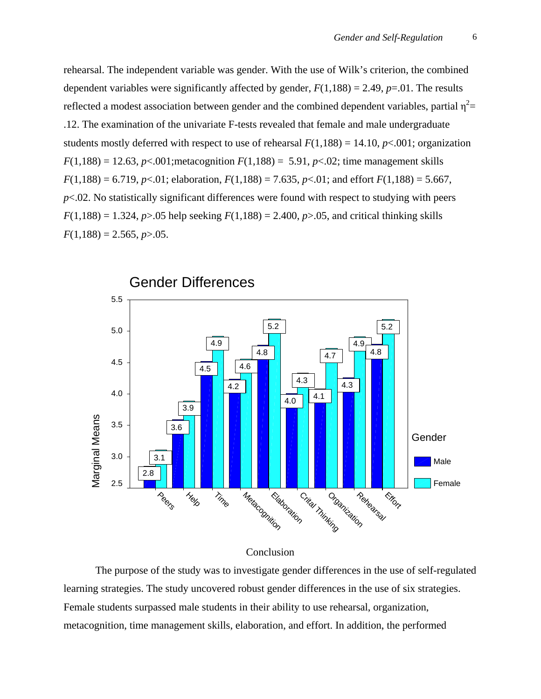rehearsal. The independent variable was gender. With the use of Wilk's criterion, the combined dependent variables were significantly affected by gender,  $F(1,188) = 2.49$ ,  $p=0.01$ . The results reflected a modest association between gender and the combined dependent variables, partial  $\eta^2$ = .12. The examination of the univariate F-tests revealed that female and male undergraduate students mostly deferred with respect to use of rehearsal  $F(1,188) = 14.10, p<.001$ ; organization  $F(1,188) = 12.63$ ,  $p < .001$ ; metacognition  $F(1,188) = 5.91$ ,  $p < .02$ ; time management skills  $F(1,188) = 6.719$ ,  $p<.01$ ; elaboration,  $F(1,188) = 7.635$ ,  $p<.01$ ; and effort  $F(1,188) = 5.667$ ,  $p<.02$ . No statistically significant differences were found with respect to studying with peers  $F(1,188) = 1.324$ ,  $p > 0.05$  help seeking  $F(1,188) = 2.400$ ,  $p > 0.05$ , and critical thinking skills  $F(1,188) = 2.565, p > 0.05.$ 



#### Conclusion

The purpose of the study was to investigate gender differences in the use of self-regulated learning strategies. The study uncovered robust gender differences in the use of six strategies. Female students surpassed male students in their ability to use rehearsal, organization, metacognition, time management skills, elaboration, and effort. In addition, the performed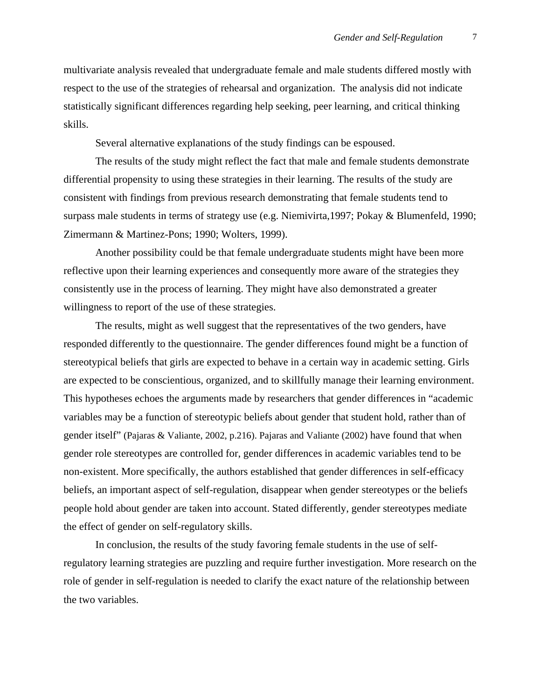multivariate analysis revealed that undergraduate female and male students differed mostly with respect to the use of the strategies of rehearsal and organization. The analysis did not indicate statistically significant differences regarding help seeking, peer learning, and critical thinking skills.

Several alternative explanations of the study findings can be espoused.

The results of the study might reflect the fact that male and female students demonstrate differential propensity to using these strategies in their learning. The results of the study are consistent with findings from previous research demonstrating that female students tend to surpass male students in terms of strategy use (e.g. Niemivirta,1997; Pokay & Blumenfeld, 1990; Zimermann & Martinez-Pons; 1990; Wolters, 1999).

Another possibility could be that female undergraduate students might have been more reflective upon their learning experiences and consequently more aware of the strategies they consistently use in the process of learning. They might have also demonstrated a greater willingness to report of the use of these strategies.

The results, might as well suggest that the representatives of the two genders, have responded differently to the questionnaire. The gender differences found might be a function of stereotypical beliefs that girls are expected to behave in a certain way in academic setting. Girls are expected to be conscientious, organized, and to skillfully manage their learning environment. This hypotheses echoes the arguments made by researchers that gender differences in "academic variables may be a function of stereotypic beliefs about gender that student hold, rather than of gender itself" (Pajaras & Valiante, 2002, p.216). Pajaras and Valiante (2002) have found that when gender role stereotypes are controlled for, gender differences in academic variables tend to be non-existent. More specifically, the authors established that gender differences in self-efficacy beliefs, an important aspect of self-regulation, disappear when gender stereotypes or the beliefs people hold about gender are taken into account. Stated differently, gender stereotypes mediate the effect of gender on self-regulatory skills.

In conclusion, the results of the study favoring female students in the use of selfregulatory learning strategies are puzzling and require further investigation. More research on the role of gender in self-regulation is needed to clarify the exact nature of the relationship between the two variables.